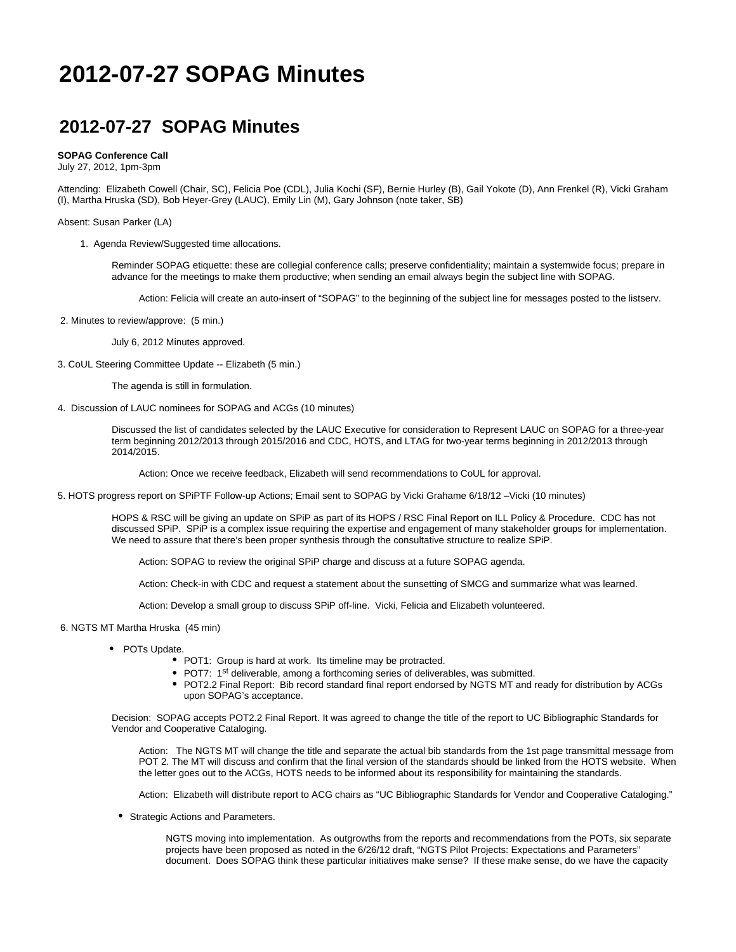## **2012-07-27 SOPAG Minutes**

## **2012-07-27 SOPAG Minutes**

## **SOPAG Conference Call**

July 27, 2012, 1pm-3pm

Attending: Elizabeth Cowell (Chair, SC), Felicia Poe (CDL), Julia Kochi (SF), Bernie Hurley (B), Gail Yokote (D), Ann Frenkel (R), Vicki Graham (I), Martha Hruska (SD), Bob Heyer-Grey (LAUC), Emily Lin (M), Gary Johnson (note taker, SB)

Absent: Susan Parker (LA)

1. Agenda Review/Suggested time allocations.

Reminder SOPAG etiquette: these are collegial conference calls; preserve confidentiality; maintain a systemwide focus; prepare in advance for the meetings to make them productive; when sending an email always begin the subject line with SOPAG.

Action: Felicia will create an auto-insert of "SOPAG" to the beginning of the subject line for messages posted to the listserv.

2. Minutes to review/approve: (5 min.)

July 6, 2012 Minutes approved.

3. CoUL Steering Committee Update -- Elizabeth (5 min.)

The agenda is still in formulation.

4. Discussion of LAUC nominees for SOPAG and ACGs (10 minutes)

Discussed the list of candidates selected by the LAUC Executive for consideration to Represent LAUC on SOPAG for a three-year term beginning 2012/2013 through 2015/2016 and CDC, HOTS, and LTAG for two-year terms beginning in 2012/2013 through 2014/2015.

Action: Once we receive feedback, Elizabeth will send recommendations to CoUL for approval.

5. HOTS progress report on SPiPTF Follow-up Actions; Email sent to SOPAG by Vicki Grahame 6/18/12 –Vicki (10 minutes)

HOPS & RSC will be giving an update on SPiP as part of its HOPS / RSC Final Report on ILL Policy & Procedure. CDC has not discussed SPiP. SPiP is a complex issue requiring the expertise and engagement of many stakeholder groups for implementation. We need to assure that there's been proper synthesis through the consultative structure to realize SPiP.

Action: SOPAG to review the original SPiP charge and discuss at a future SOPAG agenda.

Action: Check-in with CDC and request a statement about the sunsetting of SMCG and summarize what was learned.

Action: Develop a small group to discuss SPiP off-line. Vicki, Felicia and Elizabeth volunteered.

6. NGTS MT Martha Hruska (45 min)

- POTs Update.
	- POT1: Group is hard at work. Its timeline may be protracted.
	- POT7: 1<sup>st</sup> deliverable, among a forthcoming series of deliverables, was submitted.
	- POT2.2 Final Report: Bib record standard final report endorsed by NGTS MT and ready for distribution by ACGs upon SOPAG's acceptance.

Decision: SOPAG accepts POT2.2 Final Report. It was agreed to change the title of the report to UC Bibliographic Standards for Vendor and Cooperative Cataloging.

Action: The NGTS MT will change the title and separate the actual bib standards from the 1st page transmittal message from POT 2. The MT will discuss and confirm that the final version of the standards should be linked from the HOTS website. When the letter goes out to the ACGs, HOTS needs to be informed about its responsibility for maintaining the standards.

Action: Elizabeth will distribute report to ACG chairs as "UC Bibliographic Standards for Vendor and Cooperative Cataloging."

Strategic Actions and Parameters.

NGTS moving into implementation. As outgrowths from the reports and recommendations from the POTs, six separate projects have been proposed as noted in the 6/26/12 draft, "NGTS Pilot Projects: Expectations and Parameters" document. Does SOPAG think these particular initiatives make sense? If these make sense, do we have the capacity